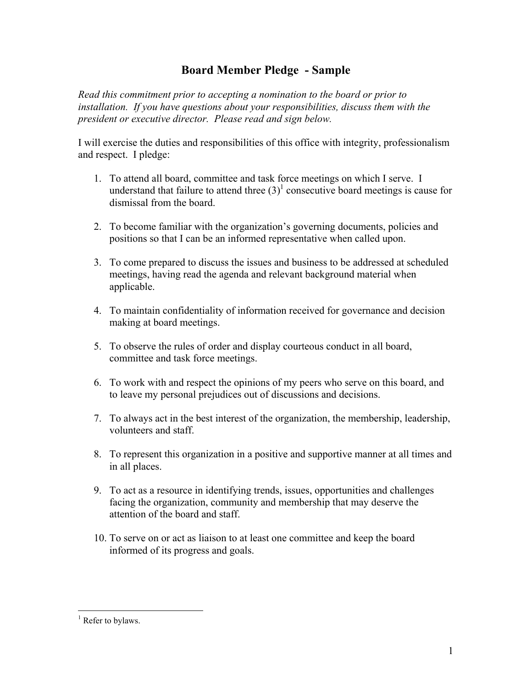## **Board Member Pledge - Sample**

*Read this commitment prior to accepting a nomination to the board or prior to installation. If you have questions about your responsibilities, discuss them with the president or executive director. Please read and sign below.*

I will exercise the duties and responsibilities of this office with integrity, professionalism and respect. I pledge:

- 1. To attend all board, committee and task force meetings on which I serve. I understand that failure to attend three  $(3)^{1}$  $(3)^{1}$  $(3)^{1}$  consecutive board meetings is cause for dismissal from the board.
- 2. To become familiar with the organization's governing documents, policies and positions so that I can be an informed representative when called upon.
- 3. To come prepared to discuss the issues and business to be addressed at scheduled meetings, having read the agenda and relevant background material when applicable.
- 4. To maintain confidentiality of information received for governance and decision making at board meetings.
- 5. To observe the rules of order and display courteous conduct in all board, committee and task force meetings.
- 6. To work with and respect the opinions of my peers who serve on this board, and to leave my personal prejudices out of discussions and decisions.
- 7. To always act in the best interest of the organization, the membership, leadership, volunteers and staff.
- 8. To represent this organization in a positive and supportive manner at all times and in all places.
- 9. To act as a resource in identifying trends, issues, opportunities and challenges facing the organization, community and membership that may deserve the attention of the board and staff.
- 10. To serve on or act as liaison to at least one committee and keep the board informed of its progress and goals.

 $\overline{a}$ 

<span id="page-0-0"></span><sup>&</sup>lt;sup>1</sup> Refer to bylaws.